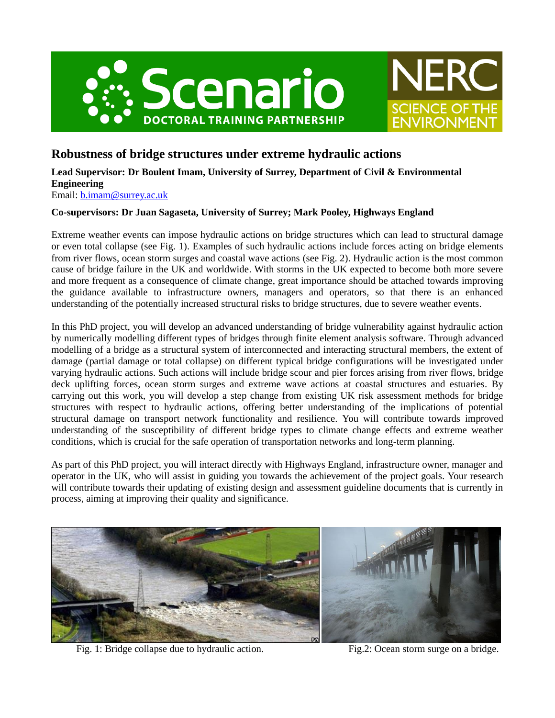



# **Robustness of bridge structures under extreme hydraulic actions**

# **Lead Supervisor: Dr Boulent Imam, University of Surrey, Department of Civil & Environmental Engineering**

Email: [b.imam@surrey.ac.uk](mailto:b.imam@surrey.ac.uk)

## **Co-supervisors: Dr Juan Sagaseta, University of Surrey; Mark Pooley, Highways England**

Extreme weather events can impose hydraulic actions on bridge structures which can lead to structural damage or even total collapse (see Fig. 1). Examples of such hydraulic actions include forces acting on bridge elements from river flows, ocean storm surges and coastal wave actions (see Fig. 2). Hydraulic action is the most common cause of bridge failure in the UK and worldwide. With storms in the UK expected to become both more severe and more frequent as a consequence of climate change, great importance should be attached towards improving the guidance available to infrastructure owners, managers and operators, so that there is an enhanced understanding of the potentially increased structural risks to bridge structures, due to severe weather events.

In this PhD project, you will develop an advanced understanding of bridge vulnerability against hydraulic action by numerically modelling different types of bridges through finite element analysis software. Through advanced modelling of a bridge as a structural system of interconnected and interacting structural members, the extent of damage (partial damage or total collapse) on different typical bridge configurations will be investigated under varying hydraulic actions. Such actions will include bridge scour and pier forces arising from river flows, bridge deck uplifting forces, ocean storm surges and extreme wave actions at coastal structures and estuaries. By carrying out this work, you will develop a step change from existing UK risk assessment methods for bridge structures with respect to hydraulic actions, offering better understanding of the implications of potential structural damage on transport network functionality and resilience. You will contribute towards improved understanding of the susceptibility of different bridge types to climate change effects and extreme weather conditions, which is crucial for the safe operation of transportation networks and long-term planning.

As part of this PhD project, you will interact directly with Highways England, infrastructure owner, manager and operator in the UK, who will assist in guiding you towards the achievement of the project goals. Your research will contribute towards their updating of existing design and assessment guideline documents that is currently in process, aiming at improving their quality and significance.



Fig. 1: Bridge collapse due to hydraulic action. Fig. 2: Ocean storm surge on a bridge.